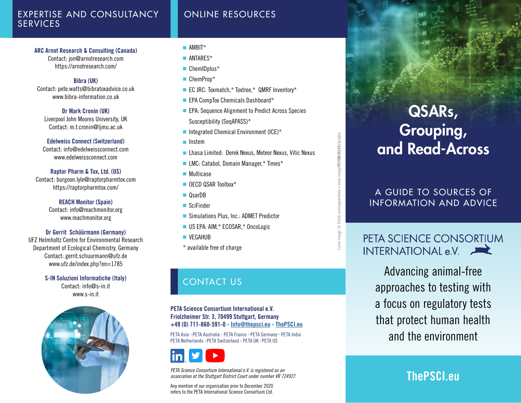### EXPERTISE AND CONSULTANCY **SERVICES**

### [ARC Arnot Research & Consulting \(Canada\)](https://arnotresearch.com/)

[Contact: jon@arnotresearch.com](https://arnotresearch.com/) <https://arnotresearch.com/>

#### Bibra (UK)

Contact: pete.watts@bibratoxadvice.co.uk www.bibra-information.co.uk

### Dr Mark Cronin (UK)

Liverpool John Moores University, UK Contact: m.t.cronin@ljmu.ac.uk

### Edelweiss Connect (Switzerland)

Contact: [info@edelweissconnect.com](mailto:info%40edelweissconnect.com?subject=) www.edelweissconnect.com

# Raptor Pharm & Tox, Ltd. (US)

Contact: burgoon.lyle@raptorpharmtox.com https://raptorpharmtox.com/

> REACH Monitor (Spain) Contact: info@reachmonitor.org www.reachmonitor.org

### Dr Gerrit Schüürmann (Germany)

UFZ Helmholtz Centre for Environmental Research Department of Ecological Chemistry, Germany Contact: gerrit.schuurmann@ufz.de www.ufz.de/index.php?en=1785

> S-IN Soluzioni Informatiche (Italy) Contact: info@s-in.it www.s-in.it



### ■ AMRIT\*

- [ANTARES\\*](http://www.antares-life.eu/)
- [ChemIDplus](https://chem.nlm.nih.gov/chemidplus/)<sup>\*</sup>
- [ChemProp\\*](https://www.ufz.de/index.php?en=34593)
- [EC JRC: Toxmatch,\\* Toxtree,\\* QMRF Inventory\\*](https://ec.europa.eu/jrc/en/eurl/ecvam)
- [EPA CompTox Chemicals Dashboard\\*](https://comptox.epa.gov/dashboard)

ONLINE RESOURCES

- EPA: Sequence Alignment to Predict Across Species [Susceptibility \(SeqAPASS\)\\*](https://www.epa.gov/chemical-research/sequence-alignment-predict-across-species-susceptibility)
- [Integrated Chemical Environment \(ICE\)\\*](https://ice.ntp.niehs.nih.gov/)
- [Instem](https://www.instem.com/solutions/insilico/computational-toxicology.php)
- [Lhasa Limited: Derek Nexus, Meteor Nexus, Vitic Nexus](http://www.lhasalimited.org/)
- [LMC: Catabol, Domain Manager,\\* Times\\*](https://oasis-lmc.org/)
- [Multicase](http://multicase.com/)
- [OECD QSAR Toolbox](https://www.oecd.org/chemicalsafety/risk-assessment/oecd-qsar-toolbox.htm)<sup>\*</sup>
- [QsarDB](https://qsardb.org/)
- [SciFinder](https://www.cas.org/solutions/cas-scifinder-discovery-platform/cas-scifinder)
- [Simulations Plus, Inc.: ADMET Predictor](https://www.simulations-plus.com/)
- [US EPA: AIM,\\* ECOSAR,\\* OncoLogic](https://www.epa.gov/tsca-screening-tools/oncologictm-expert-system-evaluate-carcinogenic-potential-chemicals)
- [VEGAHUB](https://www.vegahub.eu/download/)
- \* available free of charge

# CONTACT US

PETA Science Consortium International e.V. Friolzheimer Str. 3, 70499 Stuttgart, Germany +49 (0) 711-860-591-0 • [Info@thepsci.eu](mailto:Info@thepsci.eu) • [ThePSCI.eu](http://thepsci.eu/)

PETA Asia • PETA Australia • PETA France • PETA Germany • PETA India PETA Netherlands • PETA Switzerland • PETA UK • PETA US



*PETA Science Consortium International e.V. is registered as an association at the Stuttgart District Court under number VR 724927.*

Any mention of our organisation prior to December 2020 refers to the PETA International Science Consortium Ltd.

# magePCSIS&dQt2hr/ipopba Cover image: © iStock.com/agsandrew • Inset imageP©SI**S&dQc2n**n/ipopba PCSI08 10/21 Inset Cover image: © iStock.com/agsandrew

# QSARs, Grouping, and Read-Across

A GUIDE TO SOURCES OF INFORMATION AND ADVICE

# PETA SCIENCE CONSORTIUM **INTERNATIONAL e.V.**

Advancing animal-free approaches to testing with a focus on regulatory tests that protect human health and the environment

# [ThePSCI.eu](http://thepsci.eu/)